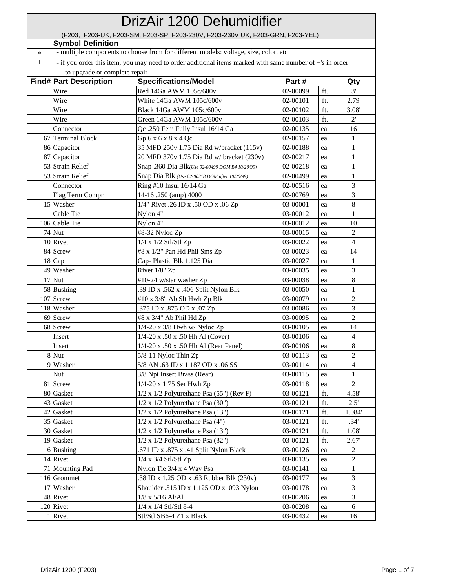| DrizAir 1200 Dehumidifier |                                                                                |                                                                                                          |          |     |                  |  |  |  |
|---------------------------|--------------------------------------------------------------------------------|----------------------------------------------------------------------------------------------------------|----------|-----|------------------|--|--|--|
|                           | (F203, F203-UK, F203-SM, F203-SP, F203-230V, F203-230V UK, F203-GRN, F203-YEL) |                                                                                                          |          |     |                  |  |  |  |
|                           | <b>Symbol Definition</b>                                                       |                                                                                                          |          |     |                  |  |  |  |
| $\ast$                    |                                                                                | - multiple components to choose from for different models: voltage, size, color, etc                     |          |     |                  |  |  |  |
| $^{+}$                    |                                                                                | - if you order this item, you may need to order additional items marked with same number of +'s in order |          |     |                  |  |  |  |
|                           | to upgrade or complete repair                                                  |                                                                                                          |          |     |                  |  |  |  |
|                           | <b>Find# Part Description</b>                                                  | <b>Specifications/Model</b>                                                                              | Part#    |     | Qty              |  |  |  |
|                           | Wire                                                                           | Red 14Ga AWM 105c/600v                                                                                   | 02-00099 | ft. | 3'               |  |  |  |
|                           | Wire                                                                           | White 14Ga AWM 105c/600v                                                                                 | 02-00101 | ft. | 2.79             |  |  |  |
|                           | Wire                                                                           | Black 14Ga AWM 105c/600v                                                                                 | 02-00102 | ft. | 3.08'            |  |  |  |
|                           | Wire                                                                           | Green 14Ga AWM 105c/600v                                                                                 | 02-00103 | ft. | 2'               |  |  |  |
|                           | Connector                                                                      | Qc.250 Fem Fully Insul 16/14 Ga                                                                          | 02-00135 | ea. | 16               |  |  |  |
|                           | 67 Terminal Block                                                              | Gp 6 x 6 x 8 x 4 Qc                                                                                      | 02-00157 | ea. | 1                |  |  |  |
|                           | 86 Capacitor                                                                   | 35 MFD 250v 1.75 Dia Rd w/bracket (115v)                                                                 | 02-00188 | ea. | $\mathbf{1}$     |  |  |  |
|                           | 87 Capacitor                                                                   | 20 MFD 370v 1.75 Dia Rd w/ bracket (230v)                                                                | 02-00217 | ea. | 1                |  |  |  |
|                           | 53 Strain Relief                                                               | Snap .360 Dia Blk(Use 02-00499 DOM B4 10/20/99)                                                          | 02-00218 | ea. | $\mathbf{1}$     |  |  |  |
|                           | 53 Strain Relief                                                               | Snap Dia Blk (Use 02-00218 DOM after 10/20/99)                                                           | 02-00499 | ea. | $\mathbf{1}$     |  |  |  |
|                           | Connector                                                                      | Ring #10 Insul 16/14 Ga                                                                                  | 02-00516 | ea. | 3                |  |  |  |
|                           | Flag Term Compr                                                                | 14-16.250 (amp) 4000                                                                                     | 02-00769 | ea. | 3                |  |  |  |
|                           | 15 Washer                                                                      | 1/4" Rivet .26 ID x .50 OD x .06 Zp                                                                      | 03-00001 | ea. | $\,8\,$          |  |  |  |
|                           | Cable Tie                                                                      | Nylon 4"                                                                                                 | 03-00012 | ea. | 1                |  |  |  |
|                           | 106 Cable Tie                                                                  | Nylon 4"                                                                                                 | 03-00012 | ea. | 10               |  |  |  |
|                           | <b>74 Nut</b>                                                                  | #8-32 Nyloc Zp                                                                                           | 03-00015 | ea. | 2                |  |  |  |
|                           | 10 Rivet                                                                       | 1/4 x 1/2 Stl/Stl Zp                                                                                     | 03-00022 | ea. | 4                |  |  |  |
|                           | 84 Screw                                                                       | #8 x 1/2" Pan Hd Phil Sms Zp                                                                             | 03-00023 | ea. | 14               |  |  |  |
|                           | 18 Cap                                                                         | Cap-Plastic Blk 1.125 Dia                                                                                | 03-00027 | ea. | $\mathbf{1}$     |  |  |  |
|                           | 49 Washer                                                                      | Rivet 1/8" Zp                                                                                            | 03-00035 | ea. | 3                |  |  |  |
|                           | 17 Nut                                                                         | #10-24 w/star washer Zp                                                                                  | 03-00038 | ea. | 8                |  |  |  |
|                           | 58 Bushing                                                                     | .39 ID x .562 x .406 Split Nylon Blk                                                                     | 03-00050 | ea. | 1                |  |  |  |
|                           | 107 Screw                                                                      | #10 x 3/8" Ab Slt Hwh Zp Blk                                                                             | 03-00079 | ea. | 2                |  |  |  |
|                           | 118 Washer                                                                     | .375 ID x .875 OD x .07 Zp                                                                               | 03-00086 | ea. | 3                |  |  |  |
|                           | 69 Screw                                                                       | #8 x 3/4" Ab Phil Hd Zp                                                                                  | 03-00095 | ea. | $\overline{2}$   |  |  |  |
|                           | 68 Screw                                                                       | 1/4-20 x 3/8 Hwh w/ Nyloc Zp                                                                             | 03-00105 | ea. | 14               |  |  |  |
|                           | Insert                                                                         | 1/4-20 x .50 x .50 Hh Al (Cover)                                                                         | 03-00106 | ea. | 4                |  |  |  |
|                           | Insert                                                                         | 1/4-20 x .50 x .50 Hh Al (Rear Panel)                                                                    | 03-00106 | ea. | $8\,$            |  |  |  |
|                           | 8 Nut                                                                          | 5/8-11 Nyloc Thin Zp                                                                                     | 03-00113 | ea. | $\overline{c}$   |  |  |  |
|                           | 9 Washer                                                                       | 5/8 AN .63 ID x 1.187 OD x .06 SS                                                                        | 03-00114 | ea. | $\overline{4}$   |  |  |  |
|                           | Nut                                                                            | 3/8 Npt Insert Brass (Rear)                                                                              | 03-00115 | ea. | 1                |  |  |  |
|                           | 81 Screw                                                                       | 1/4-20 x 1.75 Ser Hwh Zp                                                                                 | 03-00118 | ea. | 2                |  |  |  |
|                           | 80 Gasket                                                                      | $1/2$ x $1/2$ Polyurethane Psa (55") (Rev F)                                                             | 03-00121 | ft. | 4.58'            |  |  |  |
|                           | 43 Gasket                                                                      | $1/2$ x $1/2$ Polyurethane Psa (30")                                                                     | 03-00121 | ft. | 2.5'             |  |  |  |
|                           | 42 Gasket                                                                      | $1/2$ x $1/2$ Polyurethane Psa $(13")$                                                                   | 03-00121 | ft. | 1.084'           |  |  |  |
|                           | 35 Gasket                                                                      | $1/2$ x $1/2$ Polyurethane Psa $(4")$                                                                    | 03-00121 | ft. | .34'             |  |  |  |
|                           | 30 Gasket                                                                      | $1/2$ x $1/2$ Polyurethane Psa $(13")$                                                                   | 03-00121 | ft. | $1.08^\circ$     |  |  |  |
|                           | 19 Gasket                                                                      | $1/2$ x $1/2$ Polyurethane Psa (32")                                                                     | 03-00121 | ft. | 2.67'            |  |  |  |
|                           | 6 Bushing                                                                      | .671 ID x .875 x .41 Split Nylon Black                                                                   | 03-00126 | ea. | 2                |  |  |  |
|                           | 14 Rivet                                                                       | 1/4 x 3/4 Stl/Stl Zp                                                                                     | 03-00135 | ea. | $\boldsymbol{2}$ |  |  |  |
|                           | 71 Mounting Pad                                                                | Nylon Tie 3/4 x 4 Way Psa                                                                                | 03-00141 | ea. | 1                |  |  |  |
|                           | 116 Grommet                                                                    | .38 ID x 1.25 OD x .63 Rubber Blk (230v)                                                                 | 03-00177 | ea. | 3                |  |  |  |
|                           | 117 Washer                                                                     | Shoulder .515 ID x 1.125 OD x .093 Nylon                                                                 | 03-00178 | ea. | 3                |  |  |  |
|                           | 48 Rivet                                                                       | $1/8$ x $5/16$ Al/Al                                                                                     | 03-00206 | ea. | 3                |  |  |  |
|                           | 120 Rivet                                                                      | 1/4 x 1/4 Stl/Stl 8-4                                                                                    | 03-00208 | ea. | 6                |  |  |  |
|                           | 1 Rivet                                                                        | Stl/Stl SB6-4 Z1 x Black                                                                                 | 03-00432 | ea. | 16               |  |  |  |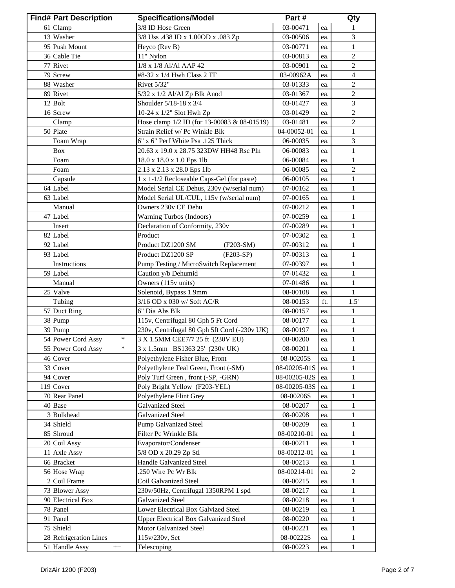| <b>Find# Part Description</b>       | <b>Specifications/Model</b>                  | Part#        |     | Qty            |
|-------------------------------------|----------------------------------------------|--------------|-----|----------------|
| 61 Clamp                            | 3/8 ID Hose Green                            | 03-00471     | ea. | 1              |
| 13 Washer                           | 3/8 Uss .438 ID x 1.00OD x .083 Zp           | 03-00506     | ea. | $\mathfrak{Z}$ |
| 95 Push Mount                       | Heyco (Rev B)                                | 03-00771     | ea. | $\mathbf{1}$   |
| 36 Cable Tie                        | 11" Nylon                                    | 03-00813     | ea. | $\overline{c}$ |
| 77 Rivet                            | 1/8 x 1/8 Al/Al AAP 42                       | 03-00901     | ea. | 2              |
| 79 Screw                            | #8-32 x 1/4 Hwh Class 2 TF                   | 03-00962A    | ea. | 4              |
| 88 Washer                           | Rivet 5/32"                                  | 03-01333     | ea. | 2              |
| 89 Rivet                            | 5/32 x 1/2 Al/Al Zp Blk Anod                 | 03-01367     | ea. | $\overline{c}$ |
| 12 Bolt                             | Shoulder 5/18-18 x 3/4                       | 03-01427     | ea. | 3              |
| 16 Screw                            | 10-24 x 1/2" Slot Hwh Zp                     | 03-01429     | ea. | $\sqrt{2}$     |
| Clamp                               | Hose clamp 1/2 ID (for 13-00083 & 08-01519)  | 03-01481     | ea. | $\sqrt{2}$     |
| 50 Plate                            | Strain Relief w/ Pc Winkle Blk               | 04-00052-01  | ea. | 1              |
| Foam Wrap                           | 6" x 6" Perf White Psa .125 Thick            | 06-00035     | ea. | 3              |
| <b>Box</b>                          | 20.63 x 19.0 x 28.75 323DW HH48 Rsc Pln      | 06-00083     | ea. | 1              |
| Foam                                | 18.0 x 18.0 x 1.0 Eps 1lb                    | 06-00084     | ea. | 1              |
| Foam                                | 2.13 x 2.13 x 28.0 Eps 1lb                   | 06-00085     | ea. | $\overline{c}$ |
| Capsule                             | 1 x 1-1/2 Recloseable Caps-Gel (for paste)   | 06-00105     | ea. | $\mathbf{1}$   |
| 64 Label                            | Model Serial CE Dehus, 230v (w/serial num)   | 07-00162     | ea. | $\mathbf{1}$   |
| 63 Label                            | Model Serial UL/CUL, 115v (w/serial num)     | 07-00165     | ea. | $\mathbf{1}$   |
| Manual                              | Owners 230v CE Dehu                          | 07-00212     | ea. | 1              |
| 47 Label                            | Warning Turbos (Indoors)                     | 07-00259     | ea. | 1              |
| Insert                              | Declaration of Conformity, 230v              | 07-00289     | ea. | 1              |
| 82 Label                            | Product                                      | 07-00302     | ea. | 1              |
| 92 Label                            | Product DZ1200 SM<br>$(F203-SM)$             | 07-00312     | ea. | $\mathbf{1}$   |
| 93 Label                            | Product DZ1200 SP<br>$(F203-SP)$             | 07-00313     | ea. | $\mathbf{1}$   |
| Instructions                        | Pump Testing / MicroSwitch Replacement       | 07-00397     | ea. | $\mathbf{1}$   |
| 59 Label                            | Caution y/b Dehumid                          | 07-01432     | ea. | $\mathbf{1}$   |
| Manual                              | Owners (115v units)                          | 07-01486     | ea. | $\mathbf{1}$   |
| 25 Valve                            | Solenoid, Bypass 1.9mm                       | 08-00108     | ea. | 1              |
| Tubing                              | 3/16 OD x 030 w/ Soft AC/R                   | 08-00153     | ft. | 1.5'           |
| 57 Duct Ring                        | 6" Dia Abs Blk                               | 08-00157     | ea. | 1              |
| 38 Pump                             | 115v, Centrifugal 80 Gph 5 Ft Cord           | 08-00177     | ea. | $\mathbf{1}$   |
| 39 Pump                             | 230v, Centrifugal 80 Gph 5ft Cord (-230v UK) | 08-00197     | ea. | $\mathbf{1}$   |
| 54 Power Cord Assy<br>$\ast$        | 3 X 1.5MM CEE7/7 25 ft (230V EU)             | 08-00200     | ea. | $\,1$          |
| 55 Power Cord Assy                  | 3 x 1.5mm BS1363 25' (230v UK)               | 08-00201     | ea. | 1              |
| 46 Cover                            | Polyethylene Fisher Blue, Front              | 08-00205S    | ea. | 1              |
| 33 Cover                            | Polyethylene Teal Green, Front (-SM)         | 08-00205-01S | ea. | 1              |
| 94 Cover                            | Poly Turf Green, front (-SP, -GRN)           | 08-00205-02S | ea. | 1              |
| $119$ Cover                         | Poly Bright Yellow (F203-YEL)                | 08-00205-03S | ea. | $\mathbf{1}$   |
| 70 Rear Panel                       | Polyethylene Flint Grey                      | 08-00206S    | ea. | $\mathbf{1}$   |
| 40 Base                             | <b>Galvanized Steel</b>                      | 08-00207     | ea. | 1              |
| 3 Bulkhead                          | <b>Galvanized Steel</b>                      | 08-00208     | ea. | $\mathbf{1}$   |
| 34 Shield                           | Pump Galvanized Steel                        | 08-00209     | ea. | 1              |
| 85 Shroud                           | Filter Pc Wrinkle Blk                        | 08-00210-01  | ea. | $\mathbf{1}$   |
| 20 Coil Assy                        | Evaporator/Condenser                         | 08-00211     | ea. | 1              |
| 11 Axle Assy                        | 5/8 OD x 20.29 Zp Stl                        | 08-00212-01  | ea. | 1              |
| 66 Bracket                          | Handle Galvanized Steel                      | 08-00213     | ea. | 1              |
| 56 Hose Wrap                        | .250 Wire Pc Wr Blk                          | 08-00214-01  | ea. | $\overline{2}$ |
| 2 Coil Frame                        | Coil Galvanized Steel                        | 08-00215     | ea. | $\mathbf{1}$   |
| 73 Blower Assy                      | 230v/50Hz, Centrifugal 1350RPM 1 spd         | 08-00217     | ea. | $\mathbf{1}$   |
| 90 Electrical Box                   | <b>Galvanized Steel</b>                      | 08-00218     | ea. | 1              |
| 78 Panel                            | Lower Electrical Box Galvized Steel          | 08-00219     | ea. | $\mathbf{1}$   |
| 91 Panel                            | <b>Upper Electrical Box Galvanized Steel</b> | 08-00220     | ea. | $\mathbf{1}$   |
| 75 Shield                           | Motor Galvanized Steel                       | 08-00221     | ea. | 1              |
| 28 Refrigeration Lines              | 115v/230v, Set                               | 08-00222S    | ea. | $\mathbf{1}$   |
| 51 Handle Assy<br>$\boldsymbol{++}$ | Telescoping                                  | 08-00223     | ea. | $\mathbf{1}$   |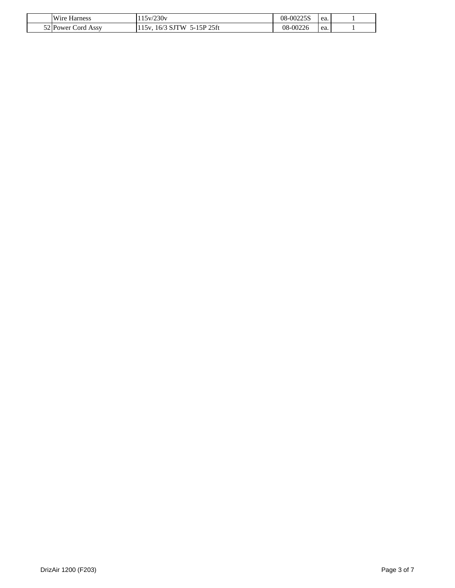| Wire<br>Harness      | 230v<br>v                                   | 00225S<br>08    | ea.<br>. |  |
|----------------------|---------------------------------------------|-----------------|----------|--|
| 52 Power<br>ord Assy | 5P 25ft<br>۰۱۸<br>$\sigma$<br>$\sim$<br>___ | $-00226$<br>ገጸ- | ea.      |  |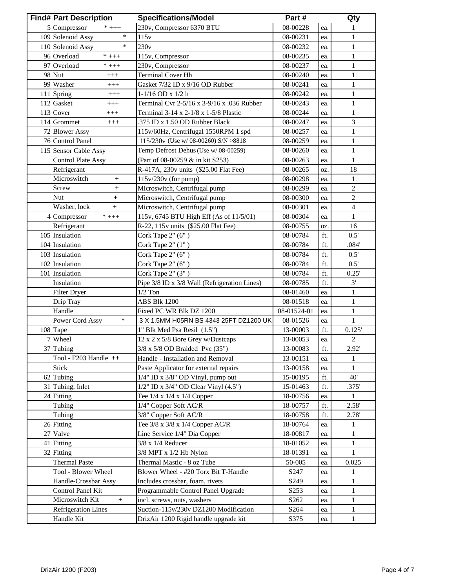| <b>Find# Part Description</b>                   | <b>Specifications/Model</b>                  | Part#            |            | Qty            |
|-------------------------------------------------|----------------------------------------------|------------------|------------|----------------|
| 5 Compressor<br>$*$ +++                         | 230v, Compressor 6370 BTU                    | 08-00228         | ea.        | 1              |
| $\ast$<br>109 Solenoid Assy                     | 115v                                         | 08-00231         | ea.        | 1              |
| $\ast$<br>110 Solenoid Assy                     | 230v                                         | 08-00232         | ea.        | $\mathbf{1}$   |
| 96 Overload<br>$*$ +++                          | 115v, Compressor                             | 08-00235         | ea.        | 1              |
| 97 Overload<br>$*$ +++                          | 230v, Compressor                             | 08-00237         | ea.        | $\mathbf{1}$   |
| 98 Nut<br>$^{+++}$                              | <b>Terminal Cover Hh</b>                     | 08-00240         | ea.        | $\mathbf{1}$   |
| 99 Washer<br>$^{+++}$                           | Gasket 7/32 ID x 9/16 OD Rubber              | 08-00241         | ea.        | $\mathbf{1}$   |
| 111 Spring<br>$+++$                             | $1-1/16$ OD x $1/2$ h                        | 08-00242         | ea.        | $\mathbf{1}$   |
| 112 Gasket<br>$^{+++}$                          | Terminal Cvr 2-5/16 x 3-9/16 x .036 Rubber   | 08-00243         | ea.        | $\mathbf{1}$   |
| 113 Cover<br>$+++$                              | Terminal 3-14 x 2-1/8 x 1-5/8 Plastic        | 08-00244         | ea.        | $\mathbf{1}$   |
| 114 Grommet<br>$^{+++}$                         | .375 ID x 1.50 OD Rubber Black               | 08-00247         | ea.        | 3              |
| 72 Blower Assy                                  | 115v/60Hz, Centrifugal 1550RPM 1 spd         | 08-00257         | ea.        | $\mathbf{1}$   |
| 76 Control Panel                                | 115/230v (Use w/ 08-00260) S/N >8818         | 08-00259         | ea.        | $\mathbf{1}$   |
| 115 Sensor Cable Assy                           | Temp Defrost Dehus (Use w/08-00259)          | 08-00260         | ea.        | $\mathbf{1}$   |
| <b>Control Plate Assy</b>                       | (Part of 08-00259 & in kit S253)             | 08-00263         | ea.        | $\mathbf{1}$   |
| Refrigerant                                     | R-417A, 230v units (\$25.00 Flat Fee)        | 08-00265         | OZ.        | 18             |
| Microswitch<br>$\begin{array}{c} + \end{array}$ | $115v/230v$ (for pump)                       | 08-00298         | ea.        | $\mathbf{1}$   |
| Screw<br>$\overline{+}$                         | Microswitch, Centrifugal pump                | 08-00299         | ea.        | $\sqrt{2}$     |
| Nut<br>$+$                                      | Microswitch, Centrifugal pump                | 08-00300         | ea.        | $\sqrt{2}$     |
| Washer, lock<br>$+$                             | Microswitch, Centrifugal pump                | 08-00301         | ea.        | $\overline{4}$ |
| 4 Compressor<br>$^{\ast}$ +++                   | 115v, 6745 BTU High Eff (As of 11/5/01)      | 08-00304         | ea.        | $\mathbf{1}$   |
| Refrigerant                                     | R-22, 115v units (\$25.00 Flat Fee)          | 08-00755         | OZ.        | 16             |
| 105 Insulation                                  | Cork Tape 2" (6")                            | 08-00784         | ft.        | 0.5'           |
| 104 Insulation                                  | Cork Tape 2" (1")                            | 08-00784         | ft.        | .084'          |
| 103 Insulation                                  | Cork Tape 2" (6")                            | 08-00784         | ft.        | 0.5'           |
| 102 Insulation                                  | Cork Tape 2" (6")                            | 08-00784         | ft.        | 0.5'           |
| 101 Insulation                                  | Cork Tape 2" (3")                            | 08-00784         | ft.        | 0.25'          |
| Insulation                                      | Pipe 3/8 ID x 3/8 Wall (Refrigeration Lines) | 08-00785         | ft.        | 3'             |
| <b>Filter Dryer</b>                             | $1/2$ Ton                                    | 08-01460         | ea.        | 1              |
| Drip Tray                                       | ABS Blk 1200                                 | 08-01518         | ea.        | $\mathbf{1}$   |
| Handle                                          | Fixed PC WR Blk DZ 1200                      | 08-01524-01      | ea.        | $\mathbf{1}$   |
| $\ast$<br>Power Cord Assy                       | 3 X 1.5MM H05RN BS 4343 25FT DZ1200 UK       | 08-01526         | ea.        | $\mathbf{1}$   |
| 108 Tape                                        | 1" Blk Med Psa Resil (1.5")                  | 13-00003         | ft.        | 0.125'         |
| 7 Wheel                                         | 12 x 2 x 5/8 Bore Grey w/Dustcaps            | 13-00053         |            | $\sqrt{2}$     |
| 37 Tubing                                       | $3/8$ x $5/8$ OD Braided Pvc $(35")$         | 13-00083         | ea.<br>ft. | $2.92^{\circ}$ |
| Tool - F203 Handle ++                           | Handle - Installation and Removal            | 13-00151         |            | 1              |
| Stick                                           | Paste Applicator for external repairs        | 13-00158         | ea.        | 1              |
| 62 Tubing                                       | 1/4" ID x 3/8" OD Vinyl, pump out            | 15-00195         | ea.<br>ft. | 40'            |
| 31 Tubing, Inlet                                | 1/2" ID x 3/4" OD Clear Vinyl (4.5")         | 15-01463         | ft.        | .375'          |
| 24 Fitting                                      | Tee $1/4 \times 1/4 \times 1/4$ Copper       | 18-00756         | ea.        | 1              |
| Tubing                                          | 1/4" Copper Soft AC/R                        | 18-00757         | ft.        | 2.58'          |
| Tubing                                          | 3/8" Copper Soft AC/R                        | 18-00758         | ft.        | 2.78'          |
| 26 Fitting                                      | Tee 3/8 x 3/8 x 1/4 Copper AC/R              | 18-00764         |            | 1              |
| 27 Valve                                        | Line Service 1/4" Dia Copper                 | 18-00817         | ea.<br>ea. | 1              |
| 41 Fitting                                      | $3/8$ x 1/4 Reducer                          | 18-01052         |            | 1              |
| 32 Fitting                                      | 3/8 MPT x 1/2 Hb Nylon                       | 18-01391         | ea.<br>ea. | 1              |
| <b>Thermal Paste</b>                            | Thermal Mastic - 8 oz Tube                   | 50-005           | ea.        | 0.025          |
| Tool - Blower Wheel                             | Blower Wheel - #20 Torx Bit T-Handle         | S <sub>247</sub> | ea.        | 1              |
| Handle-Crossbar Assy                            | Includes crossbar, foam, rivets              | S249             | ea.        | $\mathbf{1}$   |
| Control Panel Kit                               | Programmable Control Panel Upgrade           | S253             | ea.        | $\mathbf{1}$   |
| Microswitch Kit<br>$^{+}$                       | incl. screws, nuts, washers                  | S262             | ea.        | 1              |
| <b>Refrigeration Lines</b>                      | Suction-115v/230v DZ1200 Modification        | S <sub>264</sub> | ea.        | 1              |
| Handle Kit                                      | DrizAir 1200 Rigid handle upgrade kit        | S375             | ea.        | $\mathbf{1}$   |
|                                                 |                                              |                  |            |                |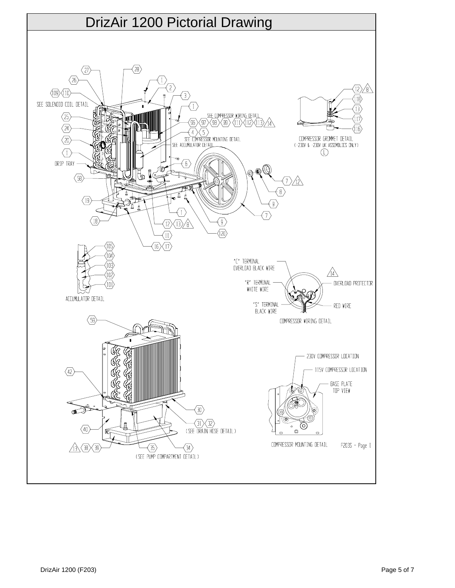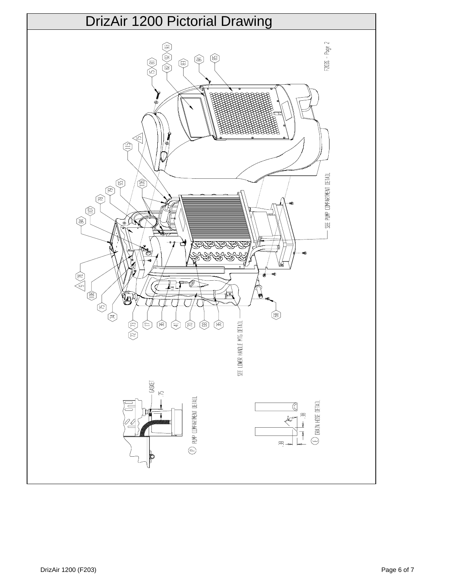